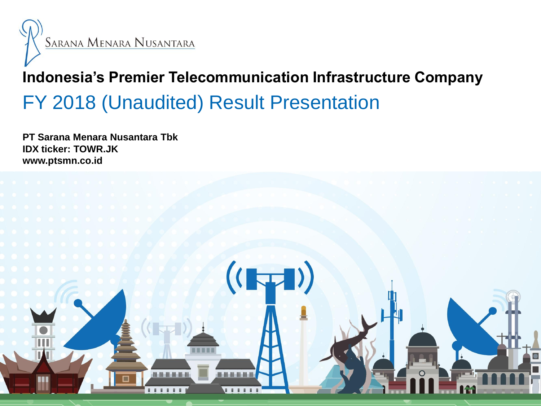

### **Indonesia's Premier Telecommunication Infrastructure Company** FY 2018 (Unaudited) Result Presentation

**PT Sarana Menara Nusantara Tbk IDX ticker: TOWR.JK www.ptsmn.co.id**

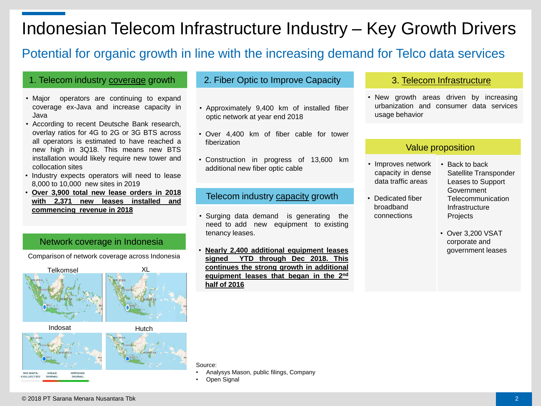### Indonesian Telecom Infrastructure Industry – Key Growth Drivers

### Potential for organic growth in line with the increasing demand for Telco data services

#### 1. Telecom industry coverage growth

- Major operators are continuing to expand coverage ex-Java and increase capacity in Java
- According to recent Deutsche Bank research, overlay ratios for 4G to 2G or 3G BTS across all operators is estimated to have reached a new high in 3Q18. This means new BTS installation would likely require new tower and collocation sites
- Industry expects operators will need to lease 8,000 to 10,000 new sites in 2019
- **Over 3,900 total new lease orders in 2018 with 2,371 new leases installed and commencing revenue in 2018**

#### Network coverage in Indonesia

Comparison of network coverage across Indonesia



### **MO DATA** STRONG



- Source:
- Analysys Mason, public filings, Company
- Open Signal

#### 2. Fiber Optic to Improve Capacity

- Approximately 9,400 km of installed fiber optic network at year end 2018
- Over 4,400 km of fiber cable for tower fiberization
- Construction in progress of 13,600 km additional new fiber optic cable

#### Telecom industry capacity growth

- Surging data demand is generating the need to add new equipment to existing tenancy leases.
- **Nearly 2,400 additional equipment leases signed YTD through Dec 2018. This continues the strong growth in additional equipment leases that began in the 2 nd half of 2016**

#### 3. Telecom Infrastructure

• New growth areas driven by increasing urbanization and consumer data services usage behavior

#### Value proposition

- Improves network capacity in dense data traffic areas
- Dedicated fiber broadband connections
- Back to back Satellite Transponder Leases to Support Government **Telecommunication** Infrastructure Projects
- Over 3,200 VSAT corporate and government leases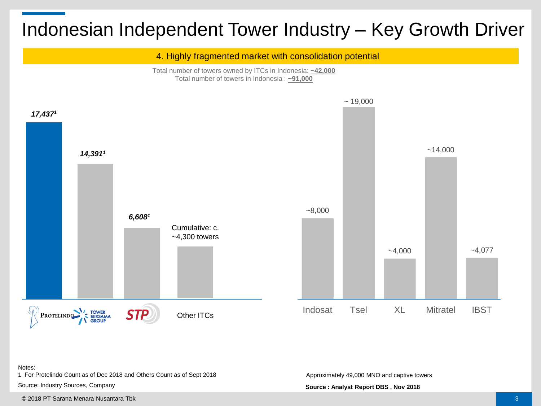### Indonesian Independent Tower Industry – Key Growth Driver



Notes:

1 For Protelindo Count as of Dec 2018 and Others Count as of Sept 2018

Source: Industry Sources, Company

Approximately 49,000 MNO and captive towers

**Source : Analyst Report DBS , Nov 2018**

#### © 2018 PT Sarana Menara Nusantara Tbk 3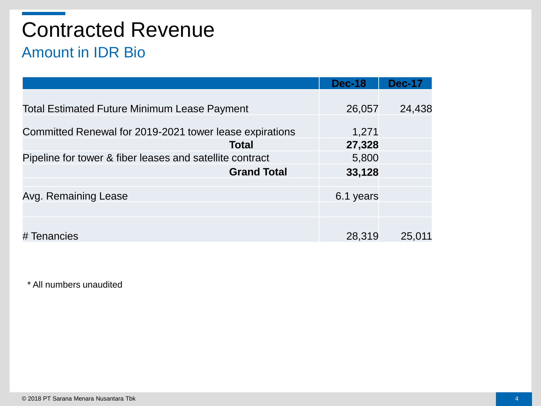### Contracted Revenue Amount in IDR Bio

|                                                          | <b>Dec-18</b> | <b>Dec-17</b> |
|----------------------------------------------------------|---------------|---------------|
|                                                          |               |               |
| <b>Total Estimated Future Minimum Lease Payment</b>      | 26,057        | 24,438        |
|                                                          |               |               |
| Committed Renewal for 2019-2021 tower lease expirations  | 1,271         |               |
| <b>Total</b>                                             | 27,328        |               |
| Pipeline for tower & fiber leases and satellite contract | 5,800         |               |
| <b>Grand Total</b>                                       | 33,128        |               |
|                                                          |               |               |
| Avg. Remaining Lease                                     | 6.1 years     |               |
|                                                          |               |               |
|                                                          |               |               |
| # Tenancies                                              | 28,319        | 25,011        |

\* All numbers unaudited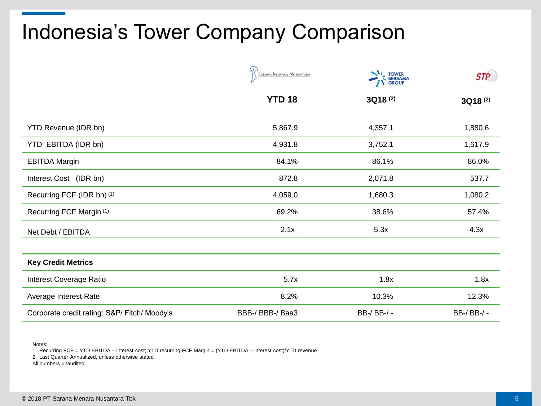### Indonesia's Tower Company Comparison

|                                              | SARANA MENARA NUSANTARA | <b>TOWER<br/>BERSAMA<br/>GROUP</b> | <b>STP</b>          |
|----------------------------------------------|-------------------------|------------------------------------|---------------------|
|                                              | <b>YTD 18</b>           | 3Q18 <sup>(2)</sup>                | 3Q18 <sup>(2)</sup> |
| YTD Revenue (IDR bn)                         | 5,867.9                 | 4,357.1                            | 1,880.6             |
| YTD EBITDA (IDR bn)                          | 4,931.8                 | 3,752.1                            | 1,617.9             |
| <b>EBITDA Margin</b>                         | 84.1%                   | 86.1%                              | 86.0%               |
| Interest Cost (IDR bn)                       | 872.8                   | 2,071.8                            | 537.7               |
| Recurring FCF (IDR bn) (1)                   | 4,059.0                 | 1,680.3                            | 1,080.2             |
| Recurring FCF Margin (1)                     | 69.2%                   | 38.6%                              | 57.4%               |
| Net Debt / EBITDA                            | 2.1x                    | 5.3x                               | 4.3x                |
| <b>Key Credit Metrics</b>                    |                         |                                    |                     |
| Interest Coverage Ratio                      | 5.7x                    | 1.8x                               | 1.8x                |
| Average Interest Rate                        | 8.2%                    | 10.3%                              | 12.3%               |
| Corporate credit rating: S&P/ Fitch/ Moody's | BBB-/ BBB-/ Baa3        | BB-/ BB-/ -                        | BB-/ BB-/ -         |

Notes:

1. Recurring FCF = YTD EBITDA – interest cost; YTD recurring FCF Margin = (YTD EBITDA – interest cost)/YTD revenue

2. Last Quarter Annualized, unless otherwise stated

All numbers unaudited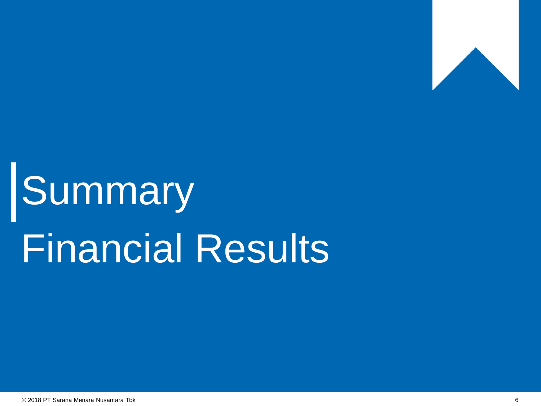

# **Summary** Financial Results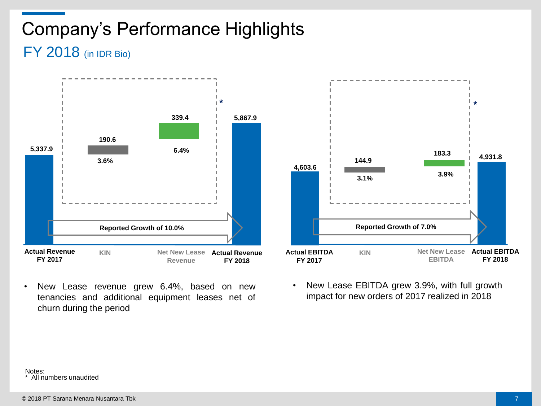### FY 2018 (in IDR Bio) Company's Performance Highlights



• New Lease revenue grew 6.4%, based on new tenancies and additional equipment leases net of churn during the period



• New Lease EBITDA grew 3.9%, with full growth impact for new orders of 2017 realized in 2018

Notes:<br>\* All n All numbers unaudited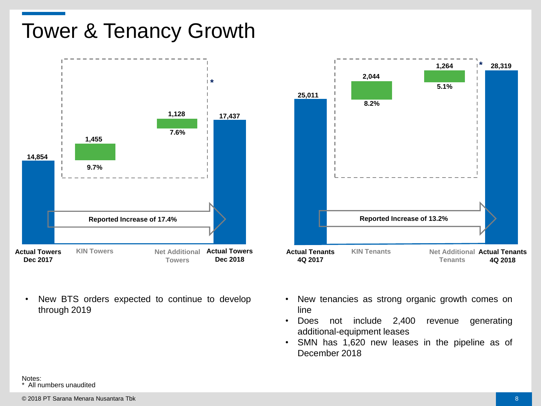### Tower & Tenancy Growth



• New BTS orders expected to continue to develop through 2019



- New tenancies as strong organic growth comes on line
- Does not include 2,400 revenue generating additional-equipment leases
- SMN has 1,620 new leases in the pipeline as of December 2018

Notes: All numbers unaudited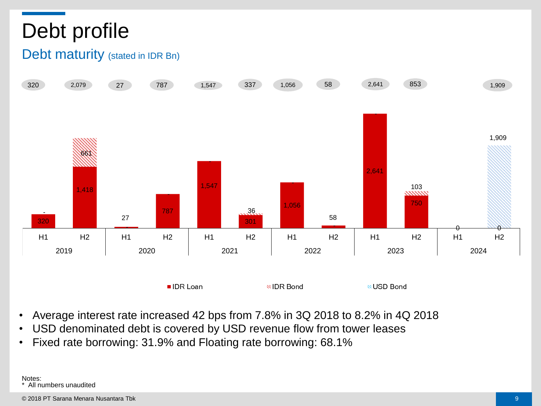### Debt profile

### Debt maturity (stated in IDR Bn)



- Average interest rate increased 42 bps from 7.8% in 3Q 2018 to 8.2% in 4Q 2018
- USD denominated debt is covered by USD revenue flow from tower leases
- Fixed rate borrowing: 31.9% and Floating rate borrowing: 68.1%

Notes: All numbers unaudited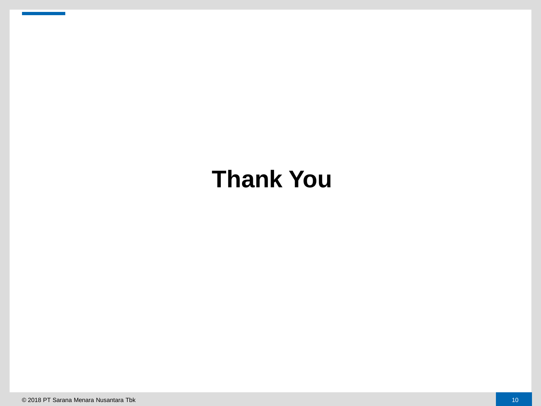## **Thank You**